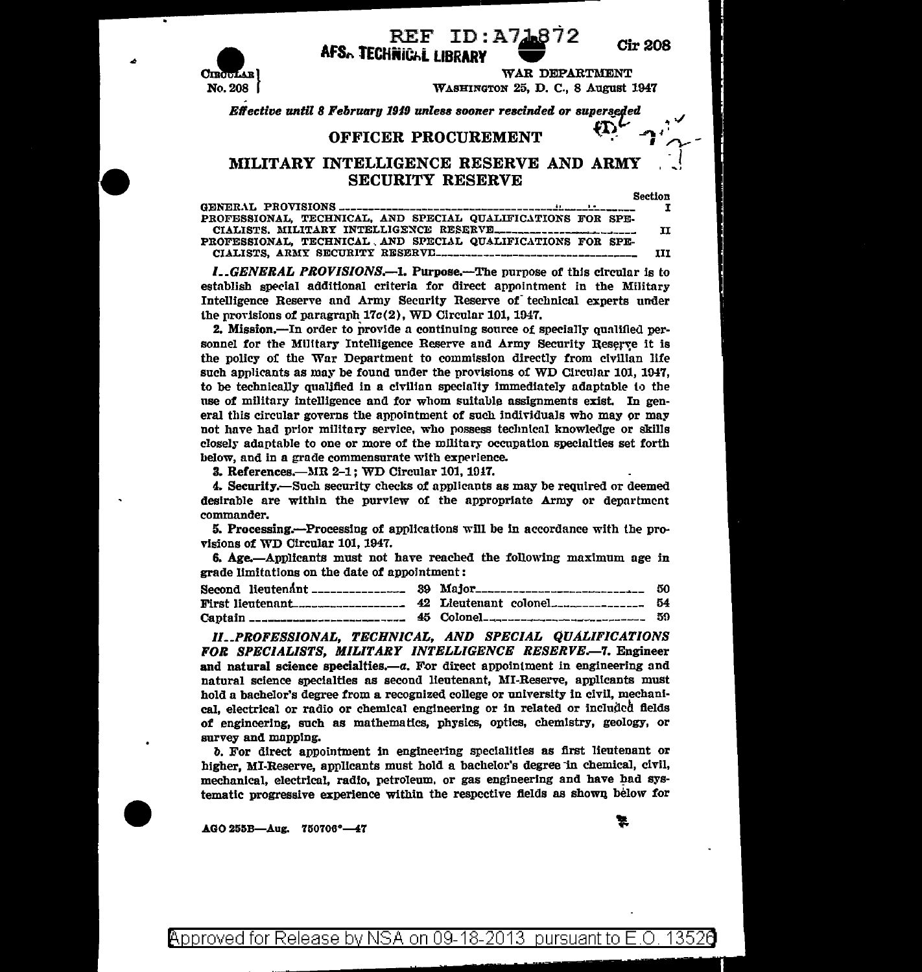

## REF ID:A718

**Cir 208** 

**AFS. TECHNIGAL LIBRARY** 

WAR DEPARTMENT WASHINGTON 25, D. C., 8 August 1947

Effective until 8 February 1949 unless sooner rescinded or superseded

## OFFICER PROCUREMENT

## MILITARY INTELLIGENCE RESERVE AND ARMY **SECURITY RESERVE**

**Section** 

| PROFESSIONAL TECHNICAL, AND SPECIAL QUALIFICATIONS FOR SPE- |  |
|-------------------------------------------------------------|--|
|                                                             |  |
| PROFESSIONAL. TECHNICAL AND SPECIAL QUALIFICATIONS FOR SPE- |  |
|                                                             |  |

**I., GENERAL PROVISIONS.—1. Purpose.—The purpose of this circular is to** establish special additional criteria for direct appointment in the Military Intelligence Reserve and Army Security Reserve of technical experts under the provisions of paragraph  $17c(2)$ , WD Circular 101, 1947.

2. Mission.—In order to provide a continuing source of specially qualified personnel for the Military Intelligence Reserve and Army Security Reserve it is the policy of the War Department to commission directly from civilian life such applicants as may be found under the provisions of WD Circular 101, 1947, to be technically qualified in a civilian specialty immediately adaptable to the use of military intelligence and for whom suitable assignments exist. In general this circular governs the appointment of such individuals who may or may not have had prior military service, who possess technical knowledge or skills closely adaptable to one or more of the military occupation specialties set forth below, and in a grade commensurate with experience.

3. References.—MR 2-1; WD Circular 101, 1947.

4. Security.—Such security checks of applicants as may be required or deemed desirable are within the purview of the appropriate Army or department commander.

5. Processing.—Processing of applications will be in accordance with the provisions of WD Circular 101, 1947.

6. Age.—Applicants must not have reached the following maximum age in grade limitations on the date of appointment:

|  | Second lieutenant _________________ 39 Major__________________________ 50 |  |
|--|---------------------------------------------------------------------------|--|
|  |                                                                           |  |
|  |                                                                           |  |

II.\_PROFESSIONAL, TECHNICAL, AND SPECIAL QUALIFICATIONS FOR SPECIALISTS. MILITARY INTELLIGENCE RESERVE.-7. Engineer and natural science specialties.-a. For direct appointment in engineering and natural science specialties as second lieutenant, MI-Reserve, applicants must hold a bachelor's degree from a recognized college or university in civil. mechanical, electrical or radio or chemical engineering or in related or included fields of engineering, such as mathematics, physics, optics, chemistry, geology, or survey and mapping.

b. For direct appointment in engineering specialities as first lieutenant or higher, MI-Reserve, applicants must hold a bachelor's degree in chemical, civil, mechanical, electrical, radio, petroleum, or gas engineering and have had systematic progressive experience within the respective fields as shown below for

AGO 255B-Aug. 750706°-47

Approved for Release by NSA on 09-18-2013 pursuant to E.O. 13526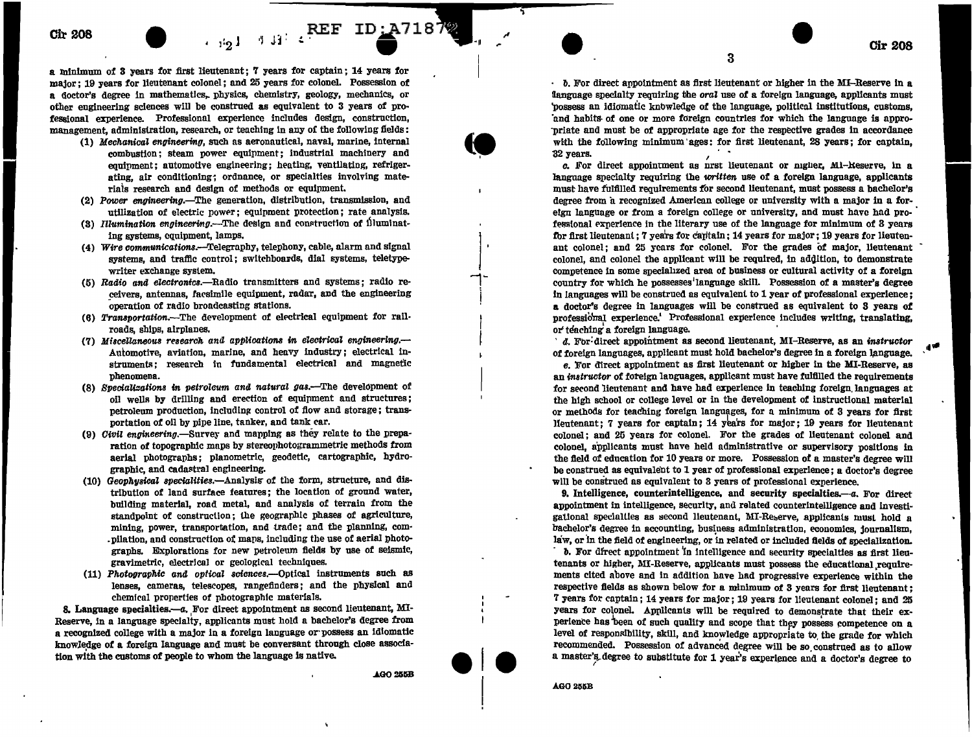## Ch-208 **Charles Christian Property of the Christian Property of the Christian Property of the Christian Property of the Christian Property of the Christian Property of the Christian Property of the Christian Property of**

a xnlnlmum of 3 years for first lieutenant; 7 years for captain ; 14 years for major ; 19 years for lieutenant colonel ; and 25 years for colonel. Possession of a doctor's degree in mathematics,. physics, chemistry, geology, mechanics, or other engineering sciences will be construed as equivalent to 3 years of professional experience. Professional experience includes design, construction, management, administration, research, or teaching In any of the following fields:

- (1) Mechanical engineering, such as aeronautical, naval, marine, internal combustion; steam power equipment; industrial machinery and equipment; automotive engineering; heating, ventilating, refrigerating, air conditioning; ordnance, or specialties involving materiais research and design of methods or equipment.
- (2) Power engineering.—The generation, distribution, transmission, and utilization of electric power; equipment protection; rate analysis.
- (3) Illumination engineering.-The design and construction of illuminating systems, equipment, lamps.
- (4) Wire communications.--Telegraphy, telephony, cable, alarm and signal systems, and traffic control; switchboards, dial systems, teletypewriter exchange system.
- (5) Radio and electrontcs.-Radio transmitters and systems; radio receivers, antennas, facsimile equipment, radar, and the engineering operation of radio broadcasting stations.
- $(6)$  Transportation.-The development of electrical equipment for railroads, ships, airplanes.
- (7) Miscellaneous research and applications in electrical engineering. $-$ Automotive, aviation, marine, and heavy industry; electrical instruments; research in fundamental electrical and magnetic phenomena.
- (8) Specializations in petroleum and natural gas.-The development of oil wells by drilling and erection of equipment and structures: petroleum production, including control of flow and storage; transportation of oil by pipe line, tanker, and tank car.
- (9) *Civil engineering*.—Survey and mapping as they relate to the preparation of topographic maps by stereophotogrammetric methods from aerial photographs: planometric, geodetic, cartographic, hydrographic, and cadastral engineering.
- (10) Geophysical specialities.-Analysis of the form, structure, and distribution of land surface features; the location of ground water, building material, road metal, and analysis of terrain from the standpoint of construction; the geographic phases of agriculture, mining, power, transportation, and trade; and the planning, com- .pilation, and construction of maps, including the use of aerial photographs. Explorations for new petroleum fields by use of seismic, gravimetric, electrical or geological techniques.
- $(11)$  Photographic and optical sciences.--Optical instruments such as lenses, cameras, telescopes, rangefinders; and the physical and chemical properties of photographic materials.

8. Language specialties.--a. For direct appointment as second lieutenant, MI-Reserve, in a language specialty, applicants must hold a bachelor's degree from a recognized college with a major in a foreign language or·possess an idiomatic knowledge of a foreign language and must be conversant through close association with the customs of people to whom the language is native.

**AGO 255B** 

I I

*b.* For direct appointment as first lieutenant or higher in the MI-Reserve In a language specialty requiring the  $oral$  use of a foreign language, applicants must 'possess an idiomatic knbwledge of the language, political institutions, customs, 'and habits- of one or more foreign countries for which the language is appro- ·priate and must be of appropriate age for the respective grades in accordance with the following minimum ages: for first lieutenant,  $28$  years; for captain,  $32$  years.

3

**1**32 years. *c.* For direct appointment as nrst lieutenant or nigher, Mi-Reserve, in a language specialty requiring the *written* use of a foreign language, applicants must have fulfiJied requirements f'or second lieutenant, must possess a bachelor's degree from a recognized American college or university with a major in a foreign language or from a foreign college or university, and must have had professional experience in the literary use of the language for minimum of 3 years for first lieutenant; 7 years for capitain; 14 years for major; 19 years for lieutenant colonel; and 25 years for colonel. For the grades of major, lieutenant colonel, and colonel the applicant will be required, in addition, to demonstrate competence in some speciallzed area of business or cultural activity of a foreign country for which he possesses'language skill. Possession of a master's degree in languages will be construed as equivalent to 1 year of professional experience; **a** doctor's degree in languages will be construed as equivalent to 3 years of professio'nal experience.' Professional experience includes wrlting, translating, or' teaching a foreign language. ·

 $d$ . For-direct appointment as second lieutenant, MI-Reserve, as an instructor of foreign languages, applicant must hold bachelor's degree in a foreign language.

*e.* For direct appointment as first lieutenant or higher in the MI-Reserve, as an *instructor* of foreign languages, applicant must have fulfilled the requirements for second lieutenant and have had experience in teaching foreign languages at the high school or college level or in the development of instructional material or methods for teaching foreign languages, for a minimum of 3 years for first lieutenant; 7 years for captain; 14 years for major; 19 years for lieutenant colonel; and 25 years for colonel. For the grades of lieutenant colonel and colonel, applicants must have held administrative or supervisory positions in the field of education for 10 years or more. Possession of a master's degree wilJ be construed as equivalent to 1 year of professional experience ; a doctor's degree will be construed as equivalent to 3 years of professional experience.

9. Intelligence, counterintelligence, and security specialties.—a. For direct appointment in intelligence, security, and related counterintelligence and investigational specialties as second lieutenant, MI-Reserve, applicants must hold a bachelor's degree in accounting, business administration, economics, journalism, law, or in the field of engineering, or in related or included fields of specialization.

· *b.* For dfrect appointment 'in intelligence and security specialties as first lieutenants or higher, MI-Reserve, applicants must possess the educational requirements cited a'bove and in addition have had progressive experience within the respective fields as shown below for a minimum of 3 years for first lieutenant ; 7 years for captain; 14 years for major; 19 years for lieutenant colonel; and 25 years for colonel. Applicants will be required to demonstrate that their experience has been of such quality and scope that they possess competence on a level of responsibility, skill, and knowledge appropriate to the grade for which recommended. Possession of advanced degree will be so construed as to allow a master's degree to substitute for 1 year's experience and a doctor's degree to

**AGO 255B** 

**ele** 

 $\vert$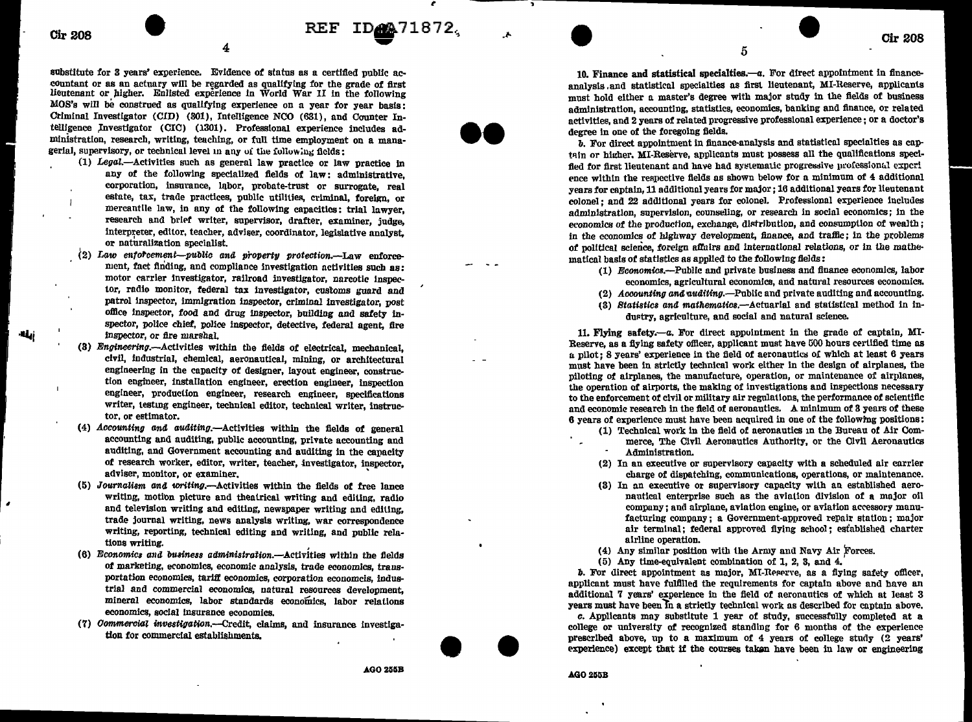$\text{CF} \quad \text{ID} \quad \text{Q} \quad \text{71872},$ 

 $\overline{1}$ 

substitute for 3 years' experience. Evidence of status as a certified public accountant or as an actuary will be regarded as qualifying for the grade of first lieutenant or higher. Enlisted experience in World War II in the following  $MOS's$  will be construed as qualifying experience on a year for year basis: Criminal Investigator (CID) (301), Intelligence NCO (631), and Counter Intelligence Investigator (CIC) (1301). Professional experience includes administration, research, writing, teaching, or full time employment on a managerial, supervisory, or technical level in any of the following fields:

(1) Legat-Activities such as general law practice or law practice In any of the following specialized fields of law: administrative, corporation, insurance, labor, probate-trust or surrogate, real estate, tax, trade practices, public utilities, criminal, foreign, or mercantile law, in any of the following capacities: trial lawyer, research and brief writer, supervisor, drafter, examiner, judge, interpreter, editor, teacher, adviser, coordinator, legislative analyst, or naturalization specialist.

- $(2)$  Law enforcement-public and property protection.-Law enforcement, fact finding, and compliance investigation activities such as: motor carrier investigator, railroad investigator, narcotic inspector, radio monitor, federal tax investigator, customs guard and patrol Inspector, immlgration Inspector, criminal investigator, post office Inspector, food and drug inspector, building and safety inspector, police chief, police inspector, detective, federal agent, fire ·IJ.ii inspector, or fire marshal.
	- (3) Engineering.-Activitles within the fields of electrical, mechanical, civil, industrial, chemical, aeronautical, mining, or architectural engineering in the capacity of designer, layout engineer, construction engineer, Installation engineer, erection engineer, inspection engineer, production engineer, research engineer, specifications writer, testmg engineer, technical editor, technical writer, instructor, or estimator.
	- (4)  $Accounting and auditing. -Activities within the fields of general$ accounting and auditing, public accounting, private accounting and auditing, and Government accounting and auditing in the capacity of research worker, editor, writer, teacher, investigator, inspector, adviser, monitor, or examiner.
	- $(5)$  Journalism and writing.--Activities within the fields of free lance writing, motion picture and theatrical writing and editing, radio and television writing and editing, newspaper writing and editing, trade journal writing, news analysis writing, war correspondence writing, reporting, technical editing and writing, and public relations writing.
	- (6) Economics and business administration.-Activities within the fields of marketing, economics, economic analysis, trade economics, transportation economics, tariff economics, corporation economcis, industrial and commercial economics, natural resources development, mineral economics, labor standards economics, labor relations economics, social Insurance economics.
	- (7) Commercial investigation.--Credit, claims, and insurance investigation for commercial establishments.

 $AGO 255B$ 

10. Finance and statistical specialties.- $a$ . For direct appointment in financeanalysls .and statistical specialties as first lieutenant, MI-Reserve, applicants must hold either a master's degree with major study in the fields of business administration, accounting, statistics, economics, banking and finance, or related activities, and 2 years of related progressive professional experience; or a doctor's degree in one of the foregoing fields.

5

*b.* For direct appointment in finance-analysis and statistical specialties as cnptain or higher. MI-Reserve, applicants must possess all the qualifications specified for first lieutenant and have had systematic progressive professional expcrience within the respective fields as shown below for a minimum of  $4$  additional years for captain, 11 adclitionnl years for major; 16 additional years for lieutenant colonel: and 22 additional years for colonel. Professional experience includes administration, supervision, counseling, or research in social economics; in the economics of the production, exchange, distribution, and consumption of wealth; in the economics of highway development, finance, and traffic: in the problems of political science, fOreign afiuirs and international relations, or in the mathematical basis of statistics as applied to the following fields:

- $(1)$  *Economics.*--Public and private business and finance economics, labor economics, agricultural economics, and natural resources economics.
- $(2)$  *Aosounting and auditing.*—Public and private auditing and accounting.
- (3) Statistics and mathematics.--Actuarial and statistical method in industry, agriculture, and social and natural science.

11. Flying safety.-a. For direct appointment in the grade of captain, MI-Reserve, as a fiving safety officer, applicant must have 500 hours certified time as  $\mu$  pilot; 8 years' experience in the field of aeronautics of which at least 6 years mnst have been in strictly technical work either in tbe design of airplanes, the piloting of airplanes, the manufacture, operation, or maintenance of airplanes, the operation of airports, the making of investigations and inspections necessary to the enforcement of civil or military air regulations, the performance of scientific and economic research in the field of aeronautics. A minimum of 3 years of these 6 years of experience must have been acquired in one of the following positions:

- (1) Technical work in the field of aeronautics in the Bureau of Air Commerce, The Civil Aeronautics Authority, or the Civil Aeronautics Administration.
- (2) In an executive or supervisory capacity with a scheduled air carrier charge of dispatching, communications, operations, or maintenance.
- (S) In an executive or supervisory capacity with an established aeronautical enterprise such as the aviation division of a major oil company; and airplane, aviation engine, or aviation accessory manufacturing company; a Government-approved repair station; major air terminal; federal approved flying school; established charter airline operation.
- (4) Any similar position with the Army and Navy Air Forces.
- (5) Any time-equivalent combination of 1, 2, 3, and 4.

 $b$ . For direct appointment as major, MI-Reserve, as a flying safety officer, applicant must have fulfilled the requirements for captain above and have an additional 7 years' experience in the field of aeronautics of which at least 3 years must have been in a strictly technical work as described for captain above.

*c.* Applicants mny substitute 1 year of study, successfully completed at a college or university of recognized standing for 6 months of the experience prescribed above, up to a maximum of 4 years of college study (2 years' experience) except that if the courses takan have been in law or engineering

**AGO 255B** 

ee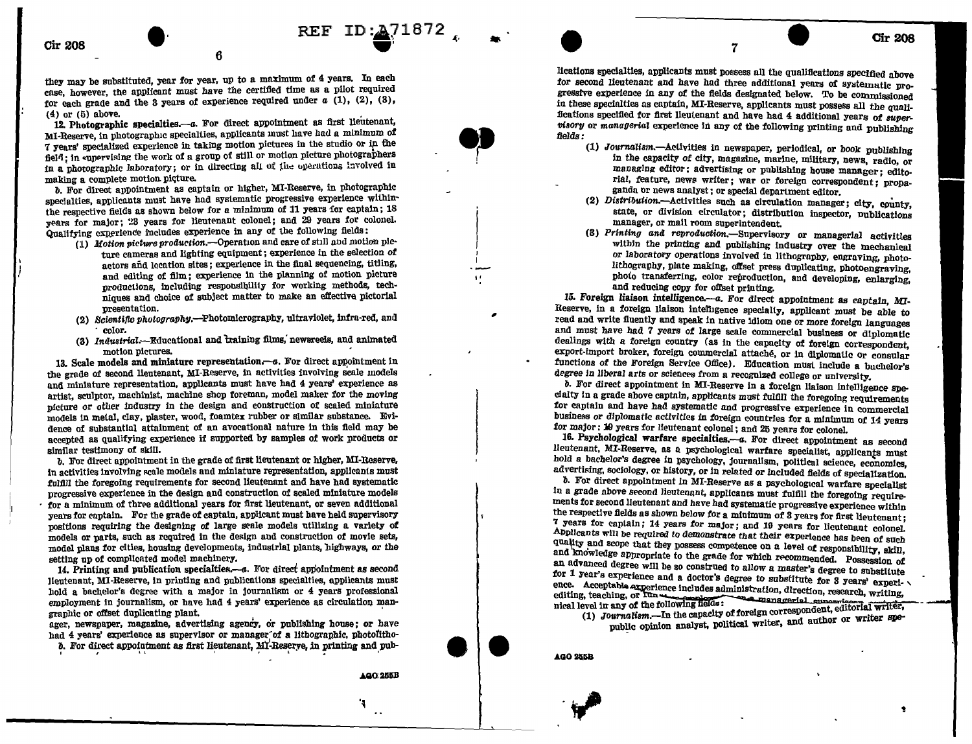they may be substituted, year for year, up to a maximum of 4 years. In each case, however, the applicant must have the certified time as a pilot required for each grade and the 3 years of experience required under  $a(1)$ , (2), (3),  $(4)$  or  $(5)$  above.

6

12. Photographic specialties.--- a. For direct appointment as first lieutenant. MI-Reserve, in photographic specialties, applicants must have had a minimum of 7 years' specialized experience in taking motion pictures in the studio or in the field; in supervising the work of a group of still or motion picture photographers in a photographic laboratory; or in directing all of the operations involved in making a complete motion picture.

b. For direct appointment as captain or higher, MI-Reserve, in photographic specialties, applicants must have had systematic progressive experience withinthe respective fields as shown below for a minimum of 11 years for captain: 18 years for major; 23 years for lieutenant colonel; and 29 years for colonel. Qualifying experience includes experience in any of the following fields:

- (1) Motion picture production.--Operation and care of still and motion picture cameras and lighting equipment; experience in the selection of actors and location sites; experience in the final sequencing, titling, and editing of film: experience in the planning of motion picture productions, including responsibility for working methods, techniques and choice of subject matter to make an effective pictorial presentation.
- (2) Scientific photography.-Photomicrography, ultraviolet. infra-red. and color.
- (3) Industrial.--Educational and training films, newsreeds, and animated motion pictures.

13. Scale models and miniature representation.-- a. For direct appointment in the grade of second lieutenant, MI-Reserve, in activities involving scale models and miniature representation, applicants must have had 4 years' experience as artist, sculptor, machinist, machine shop foreman, model maker for the moving nicture or other industry in the design and construction of scaled miniature models in metal, clay, plaster, wood, foamtex rubber or similar substance. Evidence of substantial attainment of an avocational nature in this field may be accepted as qualifying experience if supported by samples of work products or similar testimony of skill.

b. For direct appointment in the grade of first lieutenant or higher, MI-Reserve, in activities involving scale models and miniature representation, applicants must fulfill the foregoing requirements for second lieutenant and have had systematic progressive experience in the design and construction of scaled miniature models for a minimum of three additional years for first lieutenant, or seven additional years for captain. For the grade of captain, applicant must have held supervisory positions requiring the designing of large scale models utilizing a variety of models or parts, such as required in the design and construction of movie sets, model plans for cities, housing developments, industrial plants, highways, or the setting up of complicated model machinery.

14. Printing and publication specialties.--- a. For direct appointment as second Hentenant, MI-Reserve, in printing and publications specialties, applicants must hold a bachelor's degree with a major in journalism or 4 years professional employment in journalism, or have had 4 years' experience as circulation mangraphic or offset duplicating plant.

ager, newspaper, magazine, advertising agency, or publishing house; or have had 4 years' experience as supervisor or manager of a lithographic, photolithob. For direct appointment as first lieutenant, MI-Reserve, in printing and pub-

٦

REF ID: 471872

lications specialties, applicants must possess all the qualifications specified above for second lieutenant and have had three additional years of systematic progressive experience in any of the fields designated below. To be commissioned in these specialties as captain, MI-Reserve, applicants must possess all the qualifications specified for first lieutenant and have had 4 additional years of supervisory or managerial experience in any of the following printing and publishing fields:

 $\overline{7}$ 

- (1) Journalism.- Activities in newspaper, periodical, or book publishing in the capacity of city, magazine, marine, military, news, radio, or managing editor: advertising or publishing house manager: editorial, feature, news writer; war or foreign correspondent; propaganda or news analyst; or special department editor.
- (2) Distribution.--Activities such as circulation manager; city, county, state, or division circulator; distribution inspector, publications manager, or mail room superintendent.
- (3) Printing and reproduction. Supervisory or managerial activities within the printing and publishing industry over the mechanical or laboratory operations involved in lithography, engraving, photolithography, plate making, offset press duplicating, photoengraving, photo transferring, color reproduction, and developing, enlarging. and reducing copy for offset printing.

15. Foreign liaison intelligence.---a. For direct appointment as captain, MI-Reserve, in a foreign liaison intelligence specially, applicant must be able to read and write fluently and speak in native idiom one or more foreign languages and must have had 7 years of large scale commercial business or diplomatic dealings with a foreign country (as in the capacity of foreign correspondent. export-import broker, foreign commercial attaché, or in diplomatic or consular functions of the Foreign Service Office). Education must include a buchelor's degree in liberal arts or sciences from a recognized college or university.

b. For direct appointment in MI-Reserve in a foreign liaison intelligence specialty in a grade above captain, applicants must fulfill the foregoing requirements for captain and have had systematic and progressive experience in commercial business or diplomatic activities in foreign countries for a minimum of 14 years for major: 19 years for lieutenant colonel; and 25 years for colonel.

16. Psychological warfare specialties.-- a. For direct appointment as second lieutenant, MI-Reserve, as a psychological warfare specialist, applicants must hold a bachelor's degree in psychology, journalism, political science, economics, advertising, sociology, or history, or in related or included fields of specialization.

b. For direct appointment in MI-Reserve as a psychological warfare specialist in a grade above second lieutenant, applicants must fulfill the foregoing requirements for second lieutenant and have had systematic progressive experience within the respective fields as shown below for a minimum of 3 years for first lieutenant: 7 years for captain; 14 years for major; and 19 years for lieutenant colonel. Applicants will be required to demonstrate that their experience has been of such quality and scope that they possess competence on a level of responsibility, skill, and knowledge appropriate to the grade for which recommended. Possession of an advanced degree will be so construed to allow a master's degree to substitute for 1 year's experience and a doctor's degree to substitute for 3 years' experience. Acceptable experience includes administration, direction, research, writing, level in any of the following fields:<br>(1) Journalism.—In the capacity of foreign correspondent, editorial writer,<br>(1) Journalism.—In the capacity of foreign correspondent, editorial writer, editing, teaching, or Tun nical level in any of the following fields:

public opinion analyst, political writer, and author or writer spe-

**AGO 255B** 

 $\bullet$